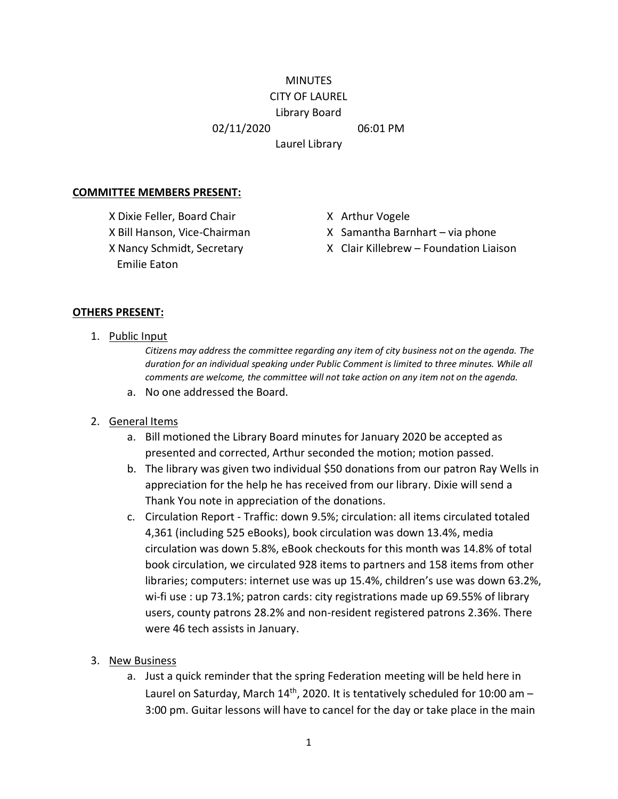#### **MINUTES** CITY OF LAUREL

# Library Board

02/11/2020 06:01 PM

Laurel Library

#### **COMMITTEE MEMBERS PRESENT:**

X Dixie Feller, Board Chair X Arthur Vogele Emilie Eaton

- 
- X Bill Hanson, Vice-Chairman X Samantha Barnhart via phone
- X Nancy Schmidt, Secretary X Clair Killebrew Foundation Liaison

## **OTHERS PRESENT:**

1. Public Input

*Citizens may address the committee regarding any item of city business not on the agenda. The duration for an individual speaking under Public Comment is limited to three minutes. While all comments are welcome, the committee will not take action on any item not on the agenda.*

a. No one addressed the Board.

## 2. General Items

- a. Bill motioned the Library Board minutes for January 2020 be accepted as presented and corrected, Arthur seconded the motion; motion passed.
- b. The library was given two individual \$50 donations from our patron Ray Wells in appreciation for the help he has received from our library. Dixie will send a Thank You note in appreciation of the donations.
- c. Circulation Report Traffic: down 9.5%; circulation: all items circulated totaled 4,361 (including 525 eBooks), book circulation was down 13.4%, media circulation was down 5.8%, eBook checkouts for this month was 14.8% of total book circulation, we circulated 928 items to partners and 158 items from other libraries; computers: internet use was up 15.4%, children's use was down 63.2%, wi-fi use : up 73.1%; patron cards: city registrations made up 69.55% of library users, county patrons 28.2% and non-resident registered patrons 2.36%. There were 46 tech assists in January.
- 3. New Business
	- a. Just a quick reminder that the spring Federation meeting will be held here in Laurel on Saturday, March  $14<sup>th</sup>$ , 2020. It is tentatively scheduled for 10:00 am -3:00 pm. Guitar lessons will have to cancel for the day or take place in the main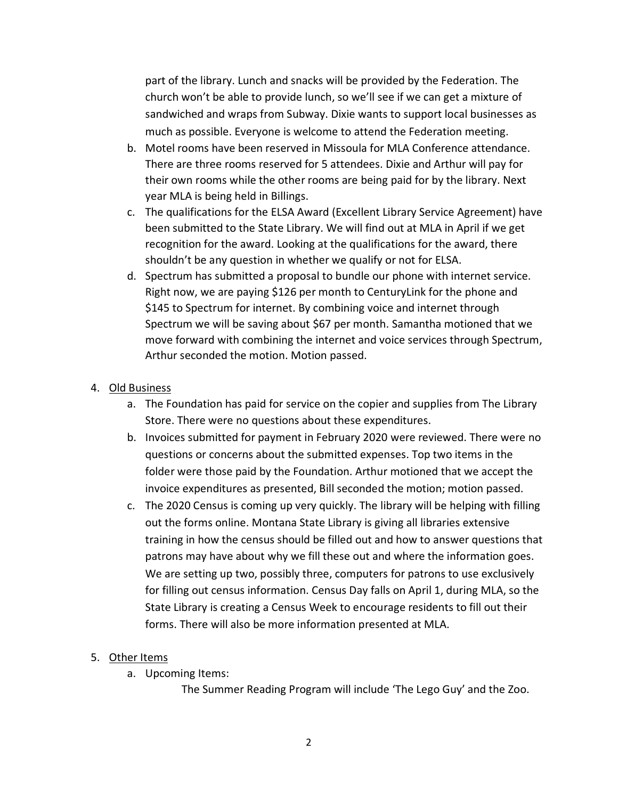part of the library. Lunch and snacks will be provided by the Federation. The church won't be able to provide lunch, so we'll see if we can get a mixture of sandwiched and wraps from Subway. Dixie wants to support local businesses as much as possible. Everyone is welcome to attend the Federation meeting.

- b. Motel rooms have been reserved in Missoula for MLA Conference attendance. There are three rooms reserved for 5 attendees. Dixie and Arthur will pay for their own rooms while the other rooms are being paid for by the library. Next year MLA is being held in Billings.
- c. The qualifications for the ELSA Award (Excellent Library Service Agreement) have been submitted to the State Library. We will find out at MLA in April if we get recognition for the award. Looking at the qualifications for the award, there shouldn't be any question in whether we qualify or not for ELSA.
- d. Spectrum has submitted a proposal to bundle our phone with internet service. Right now, we are paying \$126 per month to CenturyLink for the phone and \$145 to Spectrum for internet. By combining voice and internet through Spectrum we will be saving about \$67 per month. Samantha motioned that we move forward with combining the internet and voice services through Spectrum, Arthur seconded the motion. Motion passed.

## 4. Old Business

- a. The Foundation has paid for service on the copier and supplies from The Library Store. There were no questions about these expenditures.
- b. Invoices submitted for payment in February 2020 were reviewed. There were no questions or concerns about the submitted expenses. Top two items in the folder were those paid by the Foundation. Arthur motioned that we accept the invoice expenditures as presented, Bill seconded the motion; motion passed.
- c. The 2020 Census is coming up very quickly. The library will be helping with filling out the forms online. Montana State Library is giving all libraries extensive training in how the census should be filled out and how to answer questions that patrons may have about why we fill these out and where the information goes. We are setting up two, possibly three, computers for patrons to use exclusively for filling out census information. Census Day falls on April 1, during MLA, so the State Library is creating a Census Week to encourage residents to fill out their forms. There will also be more information presented at MLA.

## 5. Other Items

a. Upcoming Items:

The Summer Reading Program will include 'The Lego Guy' and the Zoo.